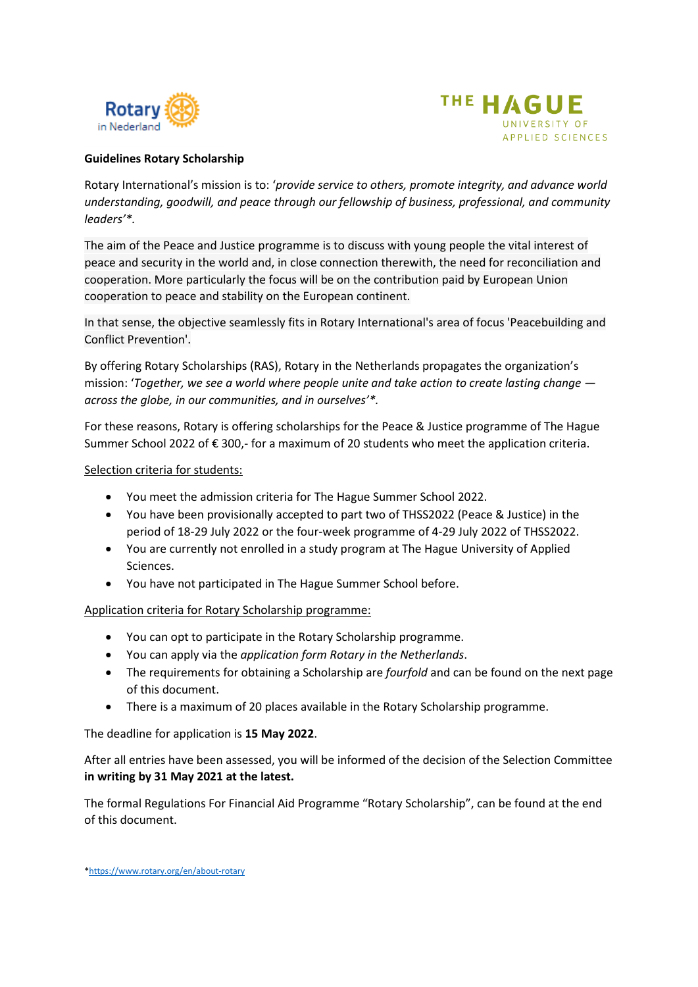



#### **Guidelines Rotary Scholarship**

Rotary International's mission is to: '*provide service to others, promote integrity, and advance world understanding, goodwill, and peace through our fellowship of business, professional, and community leaders'\*.*

The aim of the Peace and Justice programme is to discuss with young people the vital interest of peace and security in the world and, in close connection therewith, the need for reconciliation and cooperation. More particularly the focus will be on the contribution paid by European Union cooperation to peace and stability on the European continent.

In that sense, the objective seamlessly fits in Rotary International's area of focus 'Peacebuilding and Conflict Prevention'.

By offering Rotary Scholarships (RAS), Rotary in the Netherlands propagates the organization's mission: '*Together, we see a world where people unite and take action to create lasting change across the globe, in our communities, and in ourselves'\*.*

For these reasons, Rotary is offering scholarships for the Peace & Justice programme of The Hague Summer School 2022 of € 300,- for a maximum of 20 students who meet the application criteria.

#### Selection criteria for students:

- You meet the admission criteria for The Hague Summer School 2022.
- You have been provisionally accepted to part two of THSS2022 (Peace & Justice) in the period of 18-29 July 2022 or the four-week programme of 4-29 July 2022 of THSS2022.
- You are currently not enrolled in a study program at The Hague University of Applied Sciences.
- You have not participated in The Hague Summer School before.

Application criteria for Rotary Scholarship programme:

- You can opt to participate in the Rotary Scholarship programme.
- You can apply via the *application form Rotary in the Netherlands*.
- The requirements for obtaining a Scholarship are *fourfold* and can be found on the next page of this document.
- There is a maximum of 20 places available in the Rotary Scholarship programme.

The deadline for application is **15 May 2022**.

After all entries have been assessed, you will be informed of the decision of the Selection Committee **in writing by 31 May 2021 at the latest.**

The formal Regulations For Financial Aid Programme "Rotary Scholarship", can be found at the end of this document.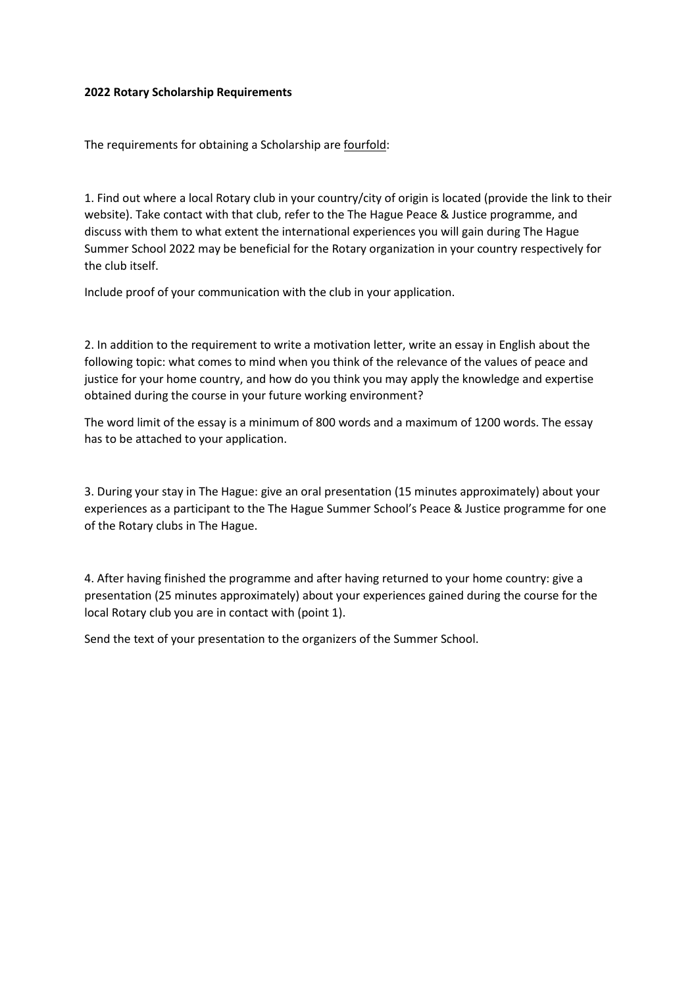#### **2022 Rotary Scholarship Requirements**

The requirements for obtaining a Scholarship are fourfold:

1. Find out where a local Rotary club in your country/city of origin is located (provide the link to their website). Take contact with that club, refer to the The Hague Peace & Justice programme, and discuss with them to what extent the international experiences you will gain during The Hague Summer School 2022 may be beneficial for the Rotary organization in your country respectively for the club itself.

Include proof of your communication with the club in your application.

2. In addition to the requirement to write a motivation letter, write an essay in English about the following topic: what comes to mind when you think of the relevance of the values of peace and justice for your home country, and how do you think you may apply the knowledge and expertise obtained during the course in your future working environment?

The word limit of the essay is a minimum of 800 words and a maximum of 1200 words. The essay has to be attached to your application.

3. During your stay in The Hague: give an oral presentation (15 minutes approximately) about your experiences as a participant to the The Hague Summer School's Peace & Justice programme for one of the Rotary clubs in The Hague.

4. After having finished the programme and after having returned to your home country: give a presentation (25 minutes approximately) about your experiences gained during the course for the local Rotary club you are in contact with (point 1).

Send the text of your presentation to the organizers of the Summer School.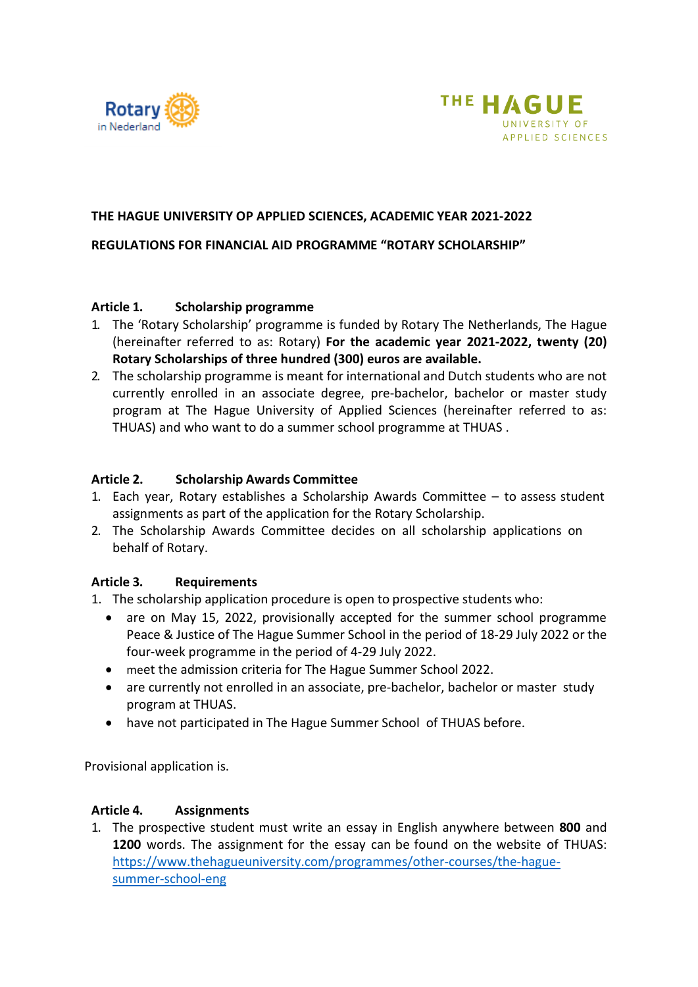



## **THE HAGUE UNIVERSITY OP APPLIED SCIENCES, ACADEMIC YEAR 2021-2022**

## **REGULATIONS FOR FINANCIAL AID PROGRAMME "ROTARY SCHOLARSHIP"**

## **Article 1. Scholarship programme**

- 1. The 'Rotary Scholarship' programme is funded by Rotary The Netherlands, The Hague (hereinafter referred to as: Rotary) **For the academic year 2021-2022, twenty (20) Rotary Scholarships of three hundred (300) euros are available.**
- 2. The scholarship programme is meant for international and Dutch students who are not currently enrolled in an associate degree, pre-bachelor, bachelor or master study program at The Hague University of Applied Sciences (hereinafter referred to as: THUAS) and who want to do a summer school programme at THUAS .

#### **Article 2. Scholarship Awards Committee**

- 1. Each year, Rotary establishes a Scholarship Awards Committee to assess student assignments as part of the application for the Rotary Scholarship.
- 2. The Scholarship Awards Committee decides on all scholarship applications on behalf of Rotary.

## **Article 3. Requirements**

- 1. The scholarship application procedure is open to prospective students who:
	- are on May 15, 2022, provisionally accepted for the summer school programme Peace & Justice of The Hague Summer School in the period of 18-29 July 2022 or the four-week programme in the period of 4-29 July 2022.
	- meet the admission criteria for The Hague Summer School 2022.
	- are currently not enrolled in an associate, pre-bachelor, bachelor or master study program at THUAS.
	- have not participated in The Hague Summer School of THUAS before.

Provisional application is.

## **Article 4. Assignments**

1. The prospective student must write an essay in English anywhere between **800** and **1200** words. The assignment for the essay can be found on the website of THUAS: [https://www.thehagueuniversity.com/programmes/other-courses/the-hague](https://www.thehagueuniversity.com/programmes/other-courses/the-hague-summer-school-eng)[summer-school-eng](https://www.thehagueuniversity.com/programmes/other-courses/the-hague-summer-school-eng)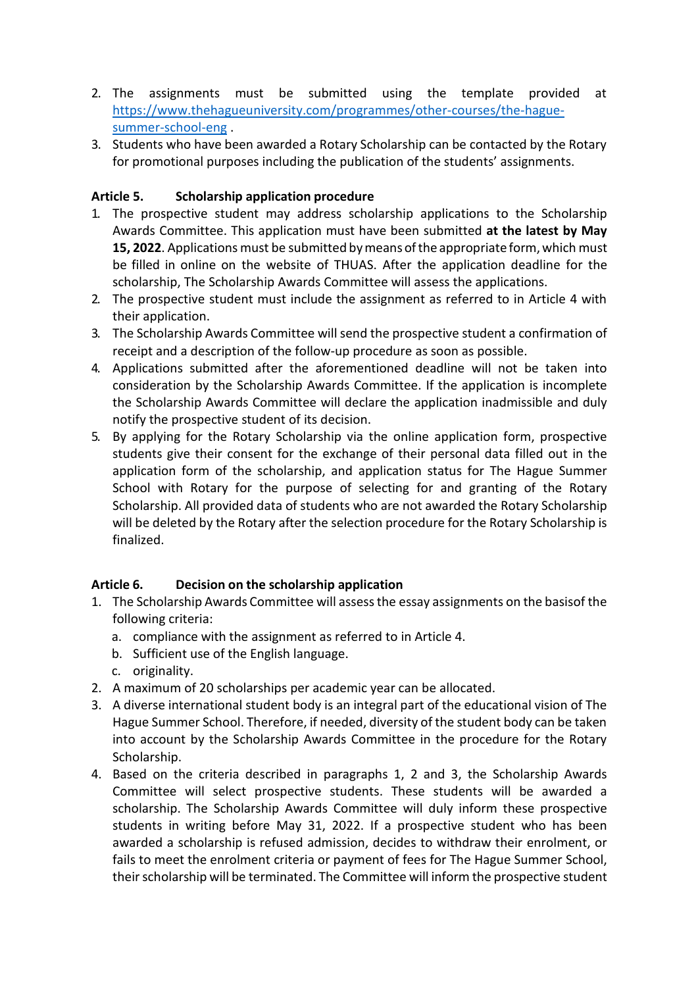- 2. The assignments must be submitted using the template provided at [https://www.thehagueuniversity.com/programmes/other-courses/the-hague](https://www.thehagueuniversity.com/programmes/other-courses/the-hague-summer-school-eng)[summer-school-eng](https://www.thehagueuniversity.com/programmes/other-courses/the-hague-summer-school-eng) .
- 3. Students who have been awarded a Rotary Scholarship can be contacted by the Rotary for promotional purposes including the publication of the students' assignments.

# **Article 5. Scholarship application procedure**

- 1. The prospective student may address scholarship applications to the Scholarship Awards Committee. This application must have been submitted **at the latest by May**  15, 2022. Applications must be submitted by means of the appropriate form, which must be filled in online on the website of THUAS. After the application deadline for the scholarship, The Scholarship Awards Committee will assess the applications.
- 2. The prospective student must include the assignment as referred to in Article 4 with their application.
- 3. The Scholarship Awards Committee will send the prospective student a confirmation of receipt and a description of the follow-up procedure as soon as possible.
- 4. Applications submitted after the aforementioned deadline will not be taken into consideration by the Scholarship Awards Committee. If the application is incomplete the Scholarship Awards Committee will declare the application inadmissible and duly notify the prospective student of its decision.
- 5. By applying for the Rotary Scholarship via the online application form, prospective students give their consent for the exchange of their personal data filled out in the application form of the scholarship, and application status for The Hague Summer School with Rotary for the purpose of selecting for and granting of the Rotary Scholarship. All provided data of students who are not awarded the Rotary Scholarship will be deleted by the Rotary after the selection procedure for the Rotary Scholarship is finalized.

# **Article 6. Decision on the scholarship application**

- 1. The Scholarship Awards Committee will assessthe essay assignments on the basisof the following criteria:
	- a. compliance with the assignment as referred to in Article 4.
	- b. Sufficient use of the English language.
	- c. originality.
- 2. A maximum of 20 scholarships per academic year can be allocated.
- 3. A diverse international student body is an integral part of the educational vision of The Hague Summer School. Therefore, if needed, diversity of the student body can be taken into account by the Scholarship Awards Committee in the procedure for the Rotary Scholarship.
- 4. Based on the criteria described in paragraphs 1, 2 and 3, the Scholarship Awards Committee will select prospective students. These students will be awarded a scholarship. The Scholarship Awards Committee will duly inform these prospective students in writing before May 31, 2022. If a prospective student who has been awarded a scholarship is refused admission, decides to withdraw their enrolment, or fails to meet the enrolment criteria or payment of fees for The Hague Summer School, their scholarship will be terminated. The Committee will inform the prospective student